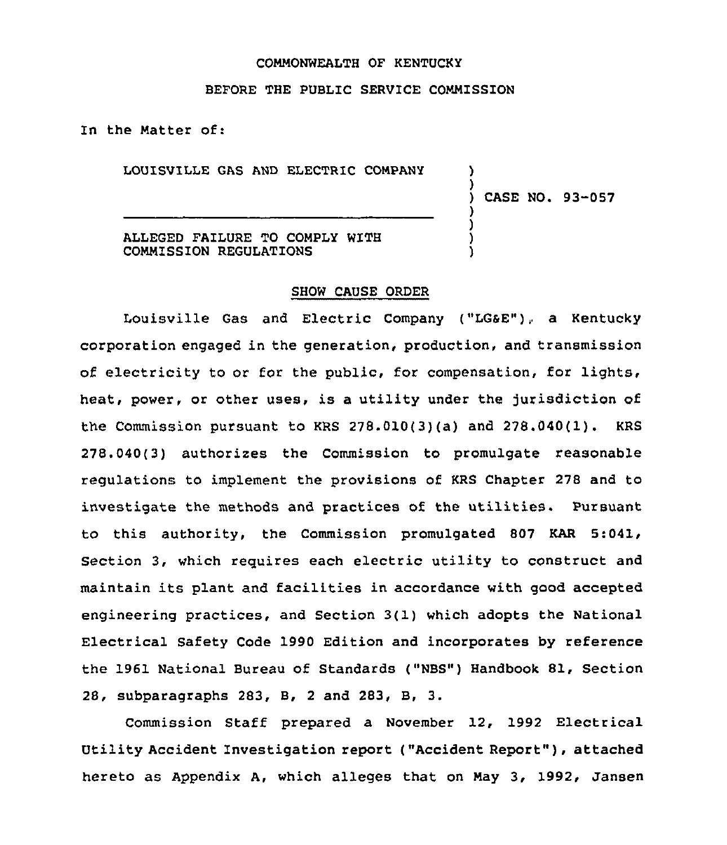#### COMMONWEALTH OF KENTUCKY

### BEFORE THE PUBLIC SERVICE COMMISSION

In the Natter of:

LOUISVILLE GAS AND ELECTRIC CONPANY

) CASE NO. 93-057

) )

) ) ) )

ALLEGED FAILURE TO COMPLY WITH COMMISSION REGULATIONS

#### SHOW CAUSE ORDER

Louisville Gas and Electric Company ("LG&E"), a Kentucky corporation engaged in the generation, production, and transmission of electricity to or for the public, for compensation, for lights. heat, power, or other uses, is a utility under the jurisdiction of the Commission pursuant to KRS 278.010(3)(a) and 278.040(1). KRS 278.040(3) authorizes the Commission to promulgate reasonable regulations to implement the provisions of KRS Chapter 278 and to investigate the methods and practices of the utilities. Pursuant to this authority, the Commission promulgated 807 KAR 5:041, Section 3, which reguires each electric utility to construct and maintain its plant and facilities in accordance with good accepted engineering practices, and Section 3(1) which adopts the National Electrical Safety Code 1990 Edition and incorporates by reference the 1961 National Bureau of Standards ("NBS") Handbook 81, Section 28, subparagraphs 283, B, <sup>2</sup> and 283, B, 3.

Commission Staff prepared a November 12, 1992 Electrical Utility Accident Investigation report ("Accident Report" ), attached hereto as Appendix A, which alleges that on Nay 3, 1992, Jansen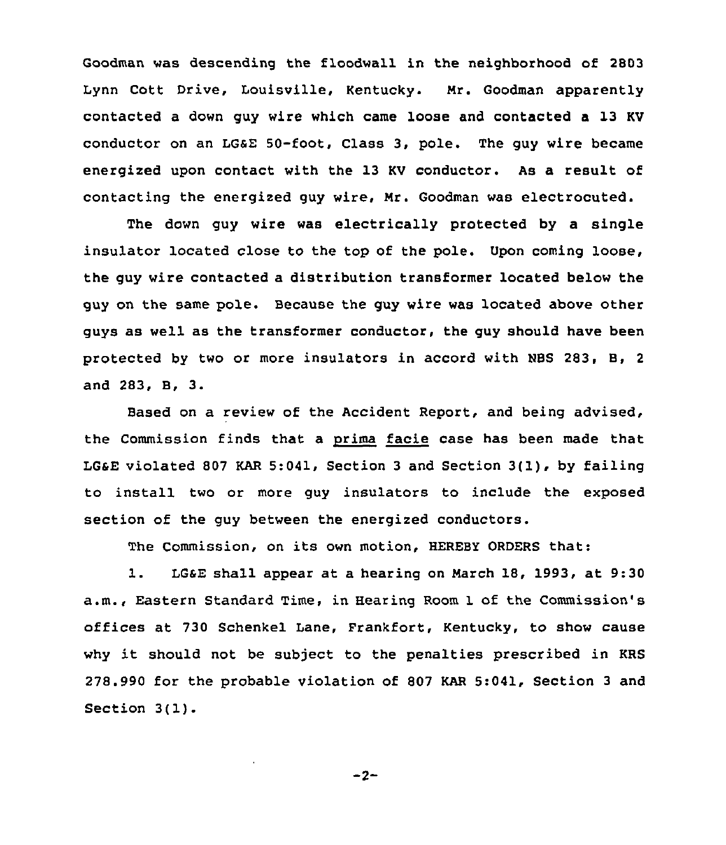Goodman was descending the floodwall in the neighborhood of 2803 Lynn Cott Drive, Louisville, Kentucky. Nr. Goodman apparently contacted a down guy wire which came loose and contacted a 13 KV conductor on an LGSE 50-foot, Class 3, pole. The guy wire became energized upon contact with the 13 KV conductor. As a result of contacting the energized guy wire, Nr. Goodman was electrocuted.

The down guy wire was electrically protected by a single insulator located close to the top of the pole. Upon coming loose, the guy wire contacted a distribution transformer located below the guy on the same pole. Because the guy wire was located above other guys as well as the transformer conductor, the guy should have been protected by two or more insulators in accord with NBS 283, B, 2 and 283, B, 3.

Based on a review of the Accident Report, and being advised, the Commission finds that a prima facie case has been made that LGsE violated <sup>807</sup> KAR 5:041, Section <sup>3</sup> and Section 3(1), by failing to install two or more guy insulators to include the exposed section of the guy between the energized conductors.

The Commission, on its own motion, HEREBY ORDERS that:

1. LGaE shall appear at <sup>a</sup> hearing on Narch 18, 1993, at 9:30 a.m., Eastern Standard Time, in Hearing Room 1 of the Commission's offices at 730 Schenkel Lane, Frankfort, Kentucky, to show cause why it should not be subject to the penalties prescribed in KRS 278.990 for the probable violation of 807 KAR 5:041, Section 3 and Section 3(1).

 $-2-$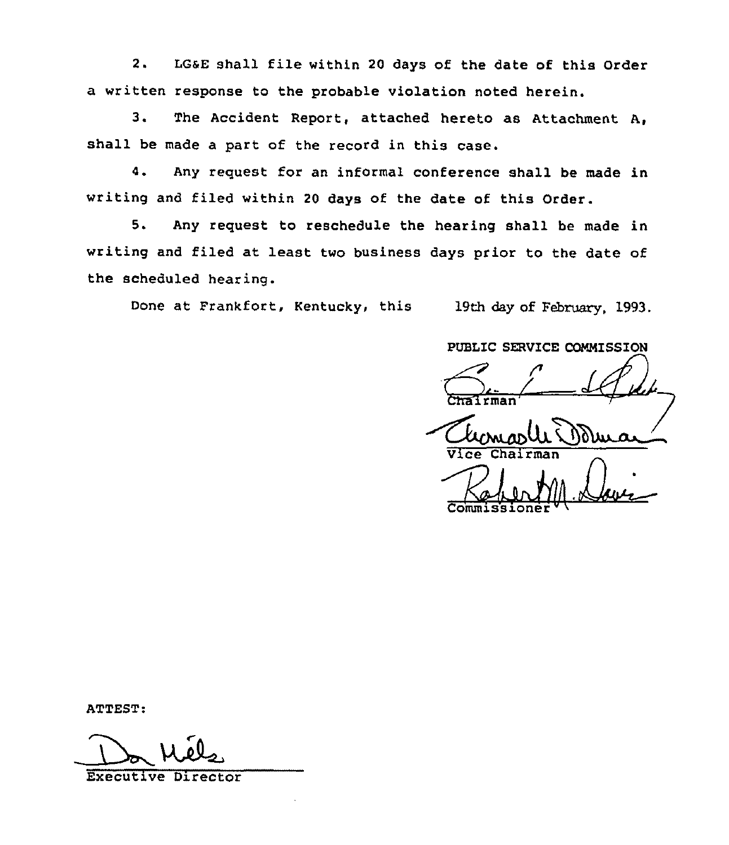2. LGsE shall file within <sup>20</sup> days of the date of this Order a written response to the probable violation noted herein.

3. The Accident Report, attached hereto as Attachment A, shall be made a part of the record in this case.

4. Any request for an informal conference shall be made in writing and filed within <sup>20</sup> days of the date of this Order.

5. Any request to reschedule the hearing shall be made in writing and filed at least two business days prior to the date of the scheduled hearing.

Done at Frankfort, Kentucky, this 19th day of February, 1993.

PUBLIC SERVICE CONNISSION

<u>|| </u>  $Commissioner  $W($$ 

ATTEST:

Do Mé

Executive Director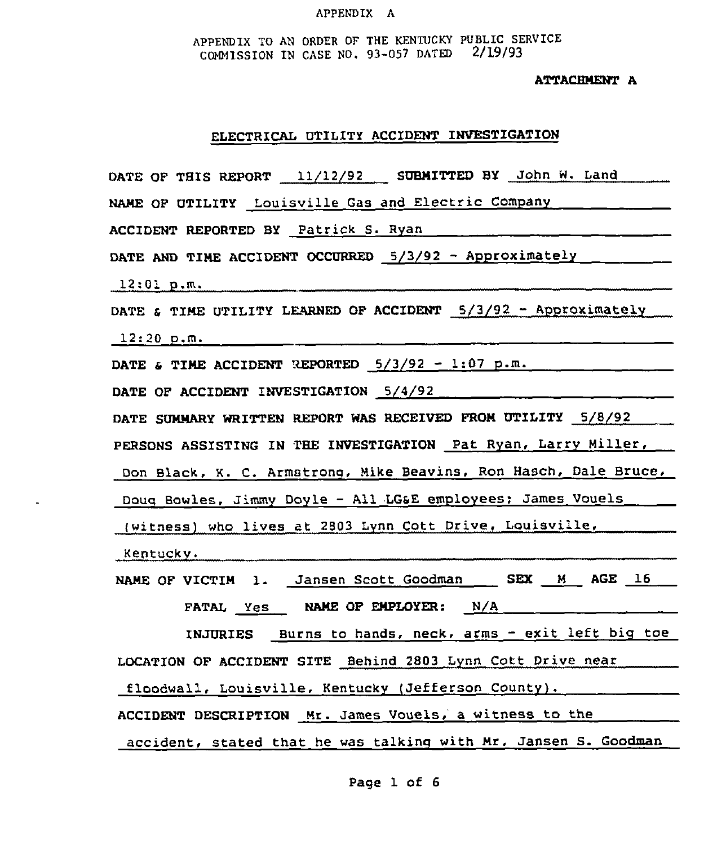#### APPENDIX A

APPENDIX TO AN ORDER OF THE KENTUCKY PUBLIC SERVICE COMMISSION IN CASE NO. 93-057 DATED 2/19/93

ATTACHMENT A

#### ELECTRICAL UTILITY ACCIDENT INVESTIGATION

DATE OF THIS REPORT 11/12/92 SUBMITTED BY John W. Land

NAME OF UTILITY Louisville Gas and Electric Company

ACCIDENT REPORTED BY Patrick S. Ryan

DATE AND TIME ACCIDENT OCCURRED 5/3/92 - Approximately

12:01 p.m.

DATE & TIME UTILITY LEARNED OF ACCIDENT 5/3/92 - Approximately

12:20 p.m.

DATE & TIME ACCIDENT REPORTED  $5/3/92 - 1:07$  p.m.  $\ldots$   $\ldots$   $\ldots$ 

DATE OF ACCIDENT INVESTIGATION 5/4/92

DATE SUMMARY WRITTEN REPORT WAS RECEIVED FROM UTILITY 5/8/92

PERSONS ASSISTING IN THE INVESTIGATION Pat Ryan, Larry Miller,

Don Black, K. C. Armstrong, Mike Beavins, Ron Hasch, Dale Bruce,

Doug Bowles, Jimmy Doyle — All LGSE employees: James Vouels

(witness) who lives at 2803 Lynn Cott Drive, Louisville,

Kentucky,

NAME OF VICTIM 1. Jansen Scott Goodman \_ SEX M AGE 16 FATAL Yes NAME OF EMPLOYER: N/A

INJURIES Burns to hands, neck, arms — exit left big toe LOCATION OF ACCIDENT SITE Behind 2803 Lynn Cott Drive near floodwall, Louisville, Kentucky (Jefferson County).

ACCIDENT DESCRIPTION Mr. James Vouels, a witness to the \_\_\_\_\_\_\_

accident, stated that he was talking with Mr. Jansen S. Goodman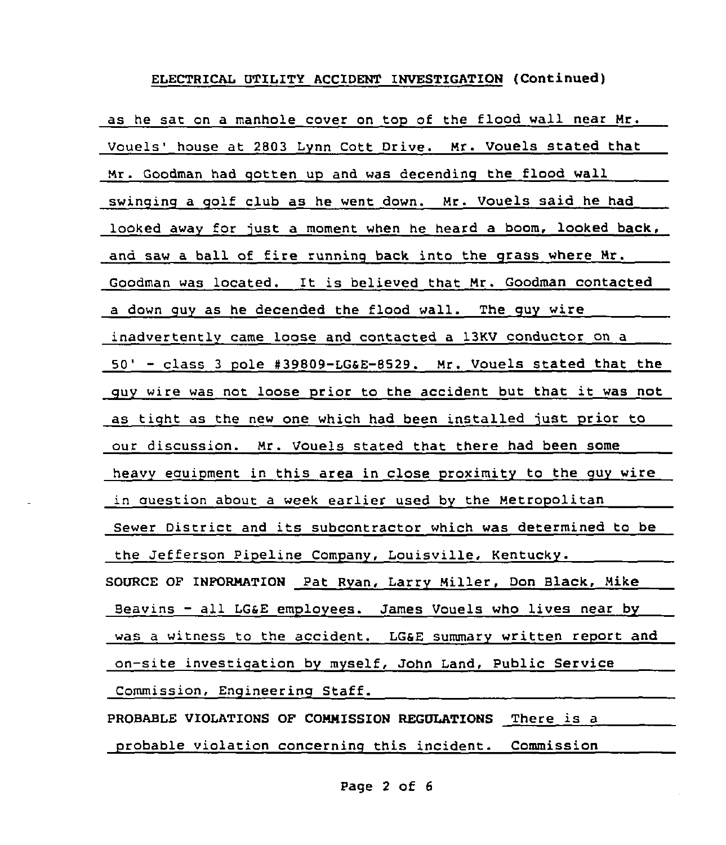#### ELECTRICAL UTILITY ACCIDENT INVESTIGATION (Continued)

as he sat on a manhole cover on top of the flood wall near Mr. Vouels' house at 2803 Lynn Cott Drive. Mr. Vouels stated that Mr. Goodman had qotten up and was decendinq the flood wall swinging a qolf club as he went down. Mr. Vouels said he had looked away for just a moment when he heard a boom, looked back, and saw <sup>a</sup> ball of fire runninq back into the qrass where Mr. Goodman was located. It is believed that Mr. Goodman contacted a down quy as he decended the flood wall. The quy wire inadvertently came loose and contacted a 13KV conductor on a 50' - class 3 pole #39809-LG&E-8529. Mr. Vouels stated that the quy wire was not loose prior to the accident but that it was not as tight as the new one which had been installed just prior to our discussion. Mr. Vouels stated that there had been some heavy equipment in this area in close proximity to the quy wire in question about a week earlier used by the Metropolitan Sewer District and its subcontractor which was determined to be the Jefferson Pipeline Company, Louisville, Kentucky. SOURCE OF INFORMATION Pat Ryan, Larry Miller, Don Black, Mike Beavins - all LG&E employees. James Vouels who lives near by was a witness to the accident. LG&E summary written report and on-site investiqation by myself, John Land, Public Service Commission, Enqineering Staff. PROBABLE VIOLATIONS OF COMMISSION REGULATIONS There is <sup>a</sup>

probable violation concerninq this incident. Commission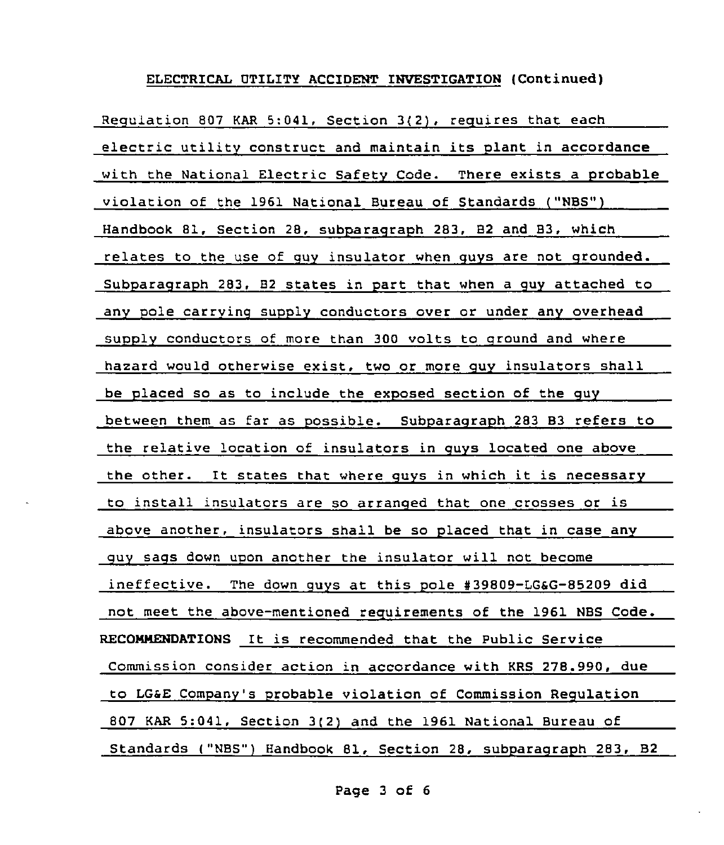#### ELECTRICAL VTILITY ACCIDENT INVESTIGATION (Continued)

Regulation 807 KAR 5:041, Section 3(2), requires that each electric utility construct and maintain its plant in accordance with the National Electric Safety Code. There exists a probable violation of the 1961 National Bureau of Standards ("NBS") Handbook 81, Section 28, subparagraph 283, 82 and 83, which relates to the use of quy insulator when guys are not qrounded. Subparagraph 283, 82 states in part that when a quy attached to any pole carrying supply conductors over or under any overhead supplv conductors of more than 300 volts to ground and where hazard would otherwise exist, two or more guy insulators shall be placed so as to include the exposed section of the guy between them as far as possible. Subparaqraph 283 83 refers to the relative location of insulators in quys located one above the other. It states that where quys in which it is necessary to install insulators are so arranged that one crosses or is above another, insulators shall be so placed that in case anv guv sacs down upon another the insulator will not become ineffective. The down quys at this pole #39809-LG&G-85209 did not meet the above-mentioned requirements of the 1961 NBS Code. RECONNENDATIONS It is recommended that the Public Service Commission consider action in accordance with KRS 278.990, due to LGsE Companv's probable violation of Commission Requlation 807 KAR 5:041, Section 3(2) and the 1961 National Bureau of Standards ("NBS") Handbook 81, Section 28, subparagraph 283, B2

Page <sup>3</sup> of 6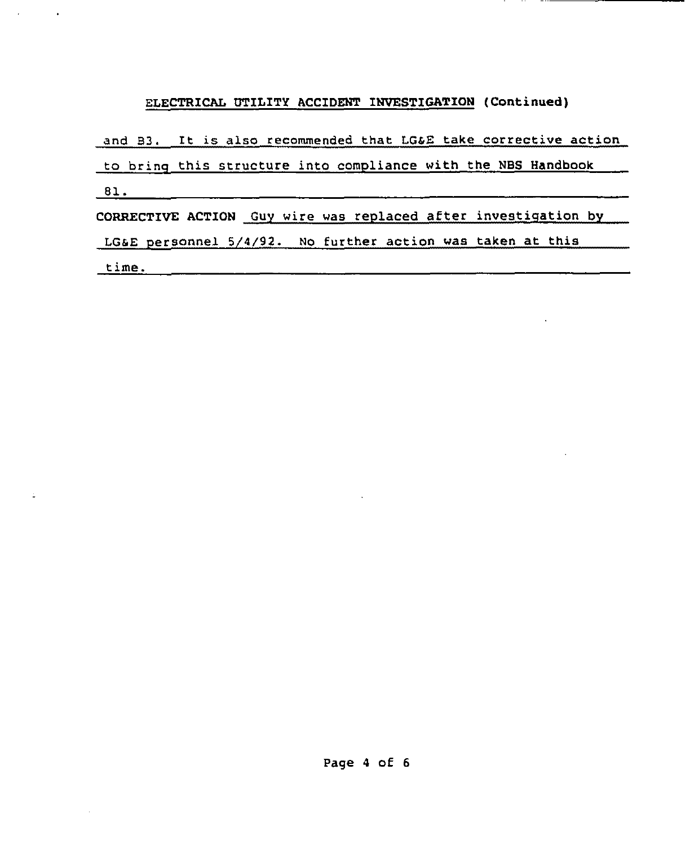## ELECTRICAL UTILITY ACCIDENT INVESTIGATION (Continued)

and B3. It is also recommended that LG&E take corrective action

to brinq this structure into compliance with the NBS Handbook

81.

 $\sim 10^{-1}$ 

 $\bullet$ 

CORRECTIVE ACTION Guy wire was replaced after investiqation by

LGsE personnel 5/4/92. No further action was taken at this

time.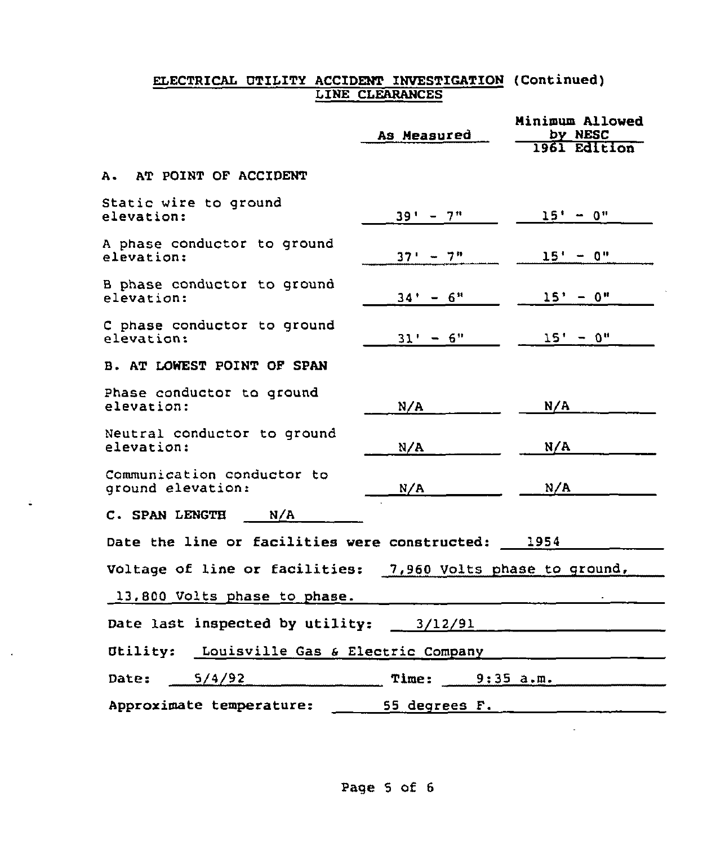### ELECTRICAL UTILITY ACCIDENT INVESTIGATION (Continued LINE CLEARANCES

|                                                             | As Measured                             | Minimum Allowed<br>by NESC |
|-------------------------------------------------------------|-----------------------------------------|----------------------------|
|                                                             |                                         | 1961 Edition               |
| A. AT POINT OF ACCIDENT                                     |                                         |                            |
| Static wire to ground<br>elevation:                         | $39' - 7''$                             | $15' - 0''$                |
| A phase conductor to ground<br>elevation:                   | $37'' - 7''$                            | $15' - 0''$                |
| B phase conductor to ground<br>elevation:                   | $34' - 6''$                             | $15' - 0''$                |
| C phase conductor to ground<br>elevation:                   | $31' - 6''$                             | $15' - 0''$                |
| B. AT LOWEST POINT OF SPAN                                  |                                         |                            |
| Phase conductor to ground<br>elevation:                     | N/A                                     | N/A                        |
| Neutral conductor to ground<br>elevation:                   | N/A                                     | N/A                        |
| Communication conductor to<br>ground elevation:             | N/A                                     | N/A                        |
| N/A<br>C. SPAN LENGTH                                       |                                         |                            |
| Date the line or facilities were constructed: 1954          |                                         |                            |
| Voltage of line or facilities: 7,960 Volts phase to ground, |                                         |                            |
| 13,800 Volts phase to phase.                                |                                         |                            |
|                                                             | Date last inspected by utility: 3/12/91 |                            |
| Utility: Louisville Gas & Electric Company                  |                                         |                            |
| 5/4/92<br>Date:                                             | Time:                                   | 9:35 a.m.                  |
| Approximate temperature:<br>55 degrees F.                   |                                         |                            |

 $\ddot{\phantom{1}}$